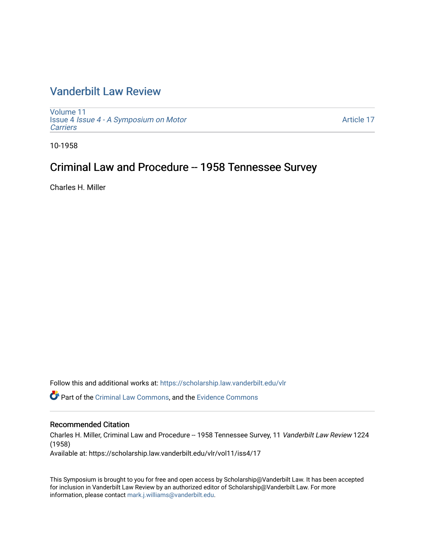# [Vanderbilt Law Review](https://scholarship.law.vanderbilt.edu/vlr)

[Volume 11](https://scholarship.law.vanderbilt.edu/vlr/vol11) Issue 4 [Issue 4 - A Symposium on Motor](https://scholarship.law.vanderbilt.edu/vlr/vol11/iss4) **[Carriers](https://scholarship.law.vanderbilt.edu/vlr/vol11/iss4)** 

[Article 17](https://scholarship.law.vanderbilt.edu/vlr/vol11/iss4/17) 

10-1958

# Criminal Law and Procedure -- 1958 Tennessee Survey

Charles H. Miller

Follow this and additional works at: [https://scholarship.law.vanderbilt.edu/vlr](https://scholarship.law.vanderbilt.edu/vlr?utm_source=scholarship.law.vanderbilt.edu%2Fvlr%2Fvol11%2Fiss4%2F17&utm_medium=PDF&utm_campaign=PDFCoverPages)

Part of the [Criminal Law Commons,](http://network.bepress.com/hgg/discipline/912?utm_source=scholarship.law.vanderbilt.edu%2Fvlr%2Fvol11%2Fiss4%2F17&utm_medium=PDF&utm_campaign=PDFCoverPages) and the [Evidence Commons](http://network.bepress.com/hgg/discipline/601?utm_source=scholarship.law.vanderbilt.edu%2Fvlr%2Fvol11%2Fiss4%2F17&utm_medium=PDF&utm_campaign=PDFCoverPages) 

## Recommended Citation

Charles H. Miller, Criminal Law and Procedure -- 1958 Tennessee Survey, 11 Vanderbilt Law Review 1224 (1958)

Available at: https://scholarship.law.vanderbilt.edu/vlr/vol11/iss4/17

This Symposium is brought to you for free and open access by Scholarship@Vanderbilt Law. It has been accepted for inclusion in Vanderbilt Law Review by an authorized editor of Scholarship@Vanderbilt Law. For more information, please contact [mark.j.williams@vanderbilt.edu](mailto:mark.j.williams@vanderbilt.edu).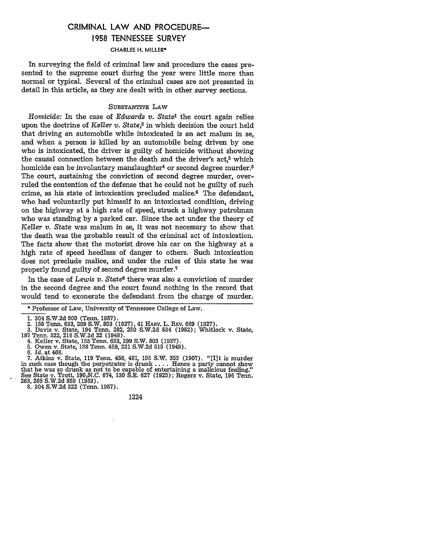## CRIMINAL LAW **AND** PROCEDURE-**1958 TENNESSEE** SURVEY

### CHARLES H. MILLER\*

In surveying the field of criminal law and procedure the cases presented to the supreme court during the year were little more than normal or typical. Several of the criminal cases are not presented in detail in this article, as they are dealt with in other survey sections.

### SUBSTANTIVE LAW

*Homicide:* In the case of *Edwards v. State'* the court again relies upon the doctrine of *Keller v. State,2* in which decision the court held that driving an automobile while intoxicated is an act malum in se, and when a person is killed by an automobile being driven by one who is intoxicated, the driver is guilty of homicide without showing the causal connection between the death and the driver's act.<sup>3</sup> which homicide can be involuntary manslaughter<sup>4</sup> or second degree murder.<sup>5</sup> The court, sustaining the conviction of second degree murder, overruled the contention of the defense that he could not be guilty of such crime, as his state of intoxication precluded malice.<sup>6</sup> The defendant, who had voluntarily put himself in an intoxicated condition, driving on the highway at a high rate of speed, struck a highway patrolman who was standing by a parked car. Since the act under the theory of *Keller v. State* was malum in se, it was not necessary to show that the death was the probable result of the criminal act of intoxication. The facts show that the motorist drove his car on the highway at a high rate of speed heedless of danger to others. Such intoxication does not preclude malice, and under the rules of this state he was properly found guilty of second degree murder.7

In the case of *Lewis v. State8* there was also a conviction of murder in the second degree and the court found nothing in the record that would tend to exonerate the defendant from the charge of murder.

2. 155 Tenn. 633, 299 S.W, 803 (1927), 41 HARV. L. REv. 669 (1927). **3.** Davis v. State, 194 Tenn. 282, 250 S.W.2d 534 (1952); Whitlock v. State,

6. *Id.* at 468.

**7.** Atkins v. State, **119** Tenn. 458, 481, **105** S.W. **353 (1907).** "[I]t is murder in such case though the perpetrator is drunk **.. .** . Hence a party cannot show that he was so drunk as not to be capable of entertaining a malicious feeling." See State v. Trott, 190 N.C. 674, 130 S.E. 627 (1925); Rogers v. State, 196 Tenn. 263, 265 S.W.2d 559 (1953).

8. 304 S.W.2d 322 (Tenn. 1957).

1224

<sup>\*</sup> Professor of Law, University of Tennessee College of Law.

<sup>304</sup> S.W.2d 500 (Tenn. 1957).

**<sup>187</sup>**Tenn. 522, 216 S.W.2d 22 (1948). 4. Keller v. State, 155 Tenn. 633, 299 S.W. 803 (1927).

<sup>5.</sup> Owen v. State, 188 Tenn. 459, 221 S.W.2d 515 (1949).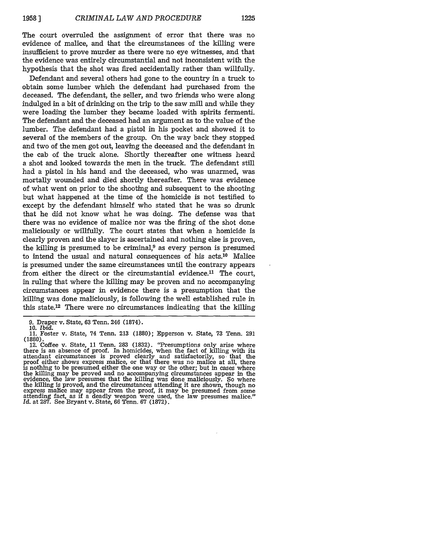The court overruled the assignment of error that there was no evidence of malice, and that the circumstances of the killing were insufficient to prove murder as there were no eye witnesses, and that the evidence was entirely circumstantial and not inconsistent with the hypothesis that the shot was fired accidentally rather than willfully.

Defendant and several others had gone to the country in a truck to obtain some lumber which the defendant had purchased from the deceased. The defendant, the seller, and two friends who were along indulged in a bit of drinking on the trip to the saw mill and while they were loading the lumber they became loaded with spirits fermenti. The defendant and the deceased had an argument as to the value of the lumber. The defendant had a pistol in his pocket and showed it to several of the members of the group. On the way back they stopped and two of the men got out, leaving the deceased and the defendant in the cab of the truck alone. Shortly thereafter one witness heard a shot and looked towards the men in the truck. The defendant still had a pistol in his hand and the deceased, who was unarmed, was mortally wounded and died shortly thereafter. There was evidence of what went on prior to the shooting and subsequent to the shooting but what happened at the time of the homicide is not testified to except by the defendant himself who stated that he was so drunk that he did not know what he was doing. The defense was that there was no evidence of malice nor was the firing of the shot done maliciously or willfully. The court states that when a homicide is clearly proven and the slayer is ascertained and nothing else is proven, the killing is presumed to be criminal, $9$  as every person is presumed to intend the usual and natural consequences of his acts.10 Malice is presumed under the same circumstances until the contrary appears from either the direct or the circumstantial evidence.<sup>11</sup> The court, in ruling that where the killing may be proven and no accompanying circumstances appear in evidence there is a presumption that the killing was done maliciously, is following the well established rule in this state.<sup>12</sup> There were no circumstances indicating that the killing

<sup>9.</sup> Draper v. State, 63 Tenn. 246 (1874).

<sup>10.</sup> *Ibid.*

<sup>11.</sup> Foster v. State, 74 Tenn. 213 (1880); Epperson v. State, 73 Tenn. 291

<sup>(1880).&</sup>lt;br>12. Coffee v. State, 11 Tenn. 283 (1832). "Presumptions only arise where there is an absence of proof. In homicides, when the fact of killing with its attendant circumstances is proved clearly and satisfactorily, so. that the proof either shows express malice, or that there was no malice at all, there is nothing to be presumed either the one way or the other; but in cases where the killing may be proved and no accompanying circumstances appear in the evidence, the law presumes that the killing was done maliciously. So where the killing is proved, and the circumstances attending it are shown, though no express makee may appear from the proof, it may be presumed from some<br>attending fact, as if a deadly weapon were used, the law presumes malice."<br>*Id.* at 287. See Bryant v. State, 66 Tenn. 67 (1872).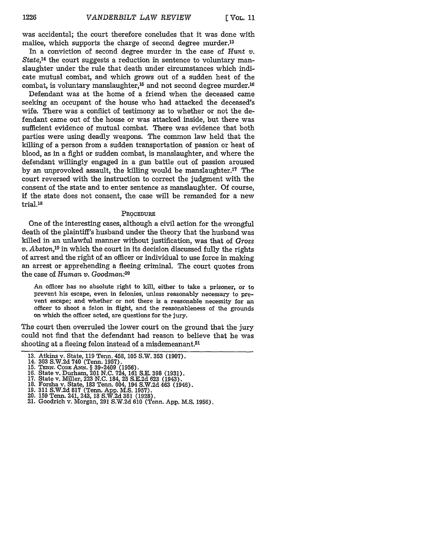was accidental; the court therefore concludes that it was done with malice, which supports the charge of second degree murder.<sup>13</sup>

In a conviction of second degree murder in the case of *Hunt v. State,14* the court suggests a reduction in sentence to voluntary manslaughter under the rule that death under circumstances which indicate mutual combat, and which grows out of a sudden heat of the combat, is voluntary manslaughter,<sup>15</sup> and not second degree murder.<sup>16</sup>

Defendant was at the home of a friend when the deceased came seeking an occupant of the house who had attacked the deceased's wife. There was a conflict of testimony as to whether or not the defendant came out of the house or was attacked inside, but there was sufficient evidence of mutual combat. There was evidence that both parties were using deadly weapons. The common law held that the killing of a person from a sudden transportation of passion or heat of blood, as in a fight or sudden combat, is manslaughter, and where the defendant willingly engaged in a gun battle out of passion aroused by an unprovoked assault, the killing would be manslaughter.'1 The court reversed with the instruction to correct the judgment with the consent of the state and to enter sentence as manslaughter. Of course, **if** the state does not consent, the case will be remanded for a new trial.<sup>18</sup>

#### **PROCEDURE**

One of the interesting cases, although a civil action for the wrongful death of the plaintiff's husband under the theory that the husband was killed in an unlawful manner without justification, was that of *Gross v. Abston,19* in which the court in its decision discussed fully the rights of arrest and the right of an officer or individual to use force in making an arrest or apprehending a fleeing criminal. The court quotes from the case of *Human v. Goodman:20*

An officer has no absolute right to kill, either to take a prisoner, or to prevent his escape, even in felonies, unless reasonably necessary to prevent escape; and whether or not there is a reasonable necessity for an officer to shoot a felon in flight, and the reasonableness of the grounds on which the officer acted, are questions for the jury.

The court then overruled the lower court on the ground that the jury could not find that the defendant had reason to believe that he was shooting at a fleeing felon instead of a misdemeanant.<sup>21</sup>

<sup>13.</sup> Atkins v. State, 119 Tenn. 458, 105 S.W. 353 (1907).<br>14. 303 S.W.2d 740 (Tenn. 1957).<br>15. TENN. CODE ANN. § 39-2409 (1956).<br>16. State v. Durham, 201 N.C. 724, 161 S.E. 398 (1931).<br>17. State v. Miller, 223 N.C. 184, 25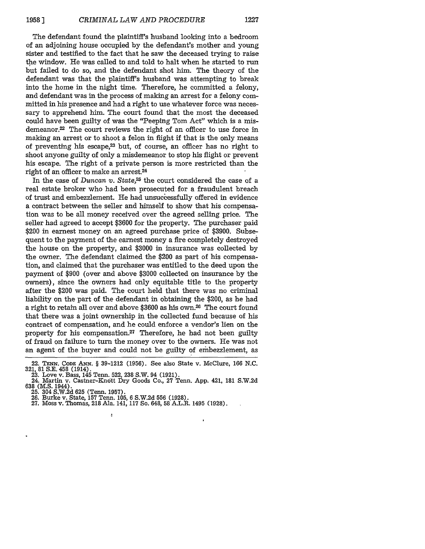The defendant found the plaintiff's husband looking into a bedroom of an adjoining house occupied by the defendant's mother and young sister and testified to the fact that he saw the deceased trying to raise the window. He was called to and told to halt when he started to run but failed to do so, and the defendant shot him. The theory of the defendant was that the plaintiff's husband was attempting to break into the home in the night time. Therefore, he committed a felony, and defendant was in the process of making an arrest for a felony committed in his presence and had a right to use whatever force was necessary to apprehend him. The court found that the most the deceased could have been guilty of was the "Peeping Tom Act" which is a misdemeanor.<sup>22</sup> The court reviews the right of an officer to use force in making an arrest or to shoot a felon in flight if that is the only means of preventing his escape,<sup>23</sup> but, of course, an officer has no right to shoot anyone guilty of only a misdemeanor to stop his flight or prevent his escape. The right of a private person is more restricted than the right of an officer to make an arrest.<sup>24</sup>

In the case of *Duncan v. State*,<sup>25</sup> the court considered the case of a real estate broker who had been prosecuted for a fraudulent breach of trust and embezzlement. He had unsuccessfully offered in evidence a contract between the seller and himself to show that his compensation was to be all money received over the agreed selling price. The seller had agreed to accept \$3600 for the property. The purchaser paid \$200 in earnest money on an agreed purchase price of \$3900. Subsequent to the payment of the earnest money a fire completely destroyed the house on the property, and \$3000 in insurance was collected by the owner. The defendant claimed the \$200 as part of his compensation, and claimed that the purchaser was entitled to the deed upon the payment of \$900 (over and above \$3000 collected on insurance by the owners), since the owners had only equitable title to the property after the \$200 was paid. The court held that there was no criminal liability on the part of the defendant in obtaining the \$200, as he had a right to retain all over and above \$3600 as his own.<sup>26</sup> The court found that there was a joint ownership in the collected fund because of his contract of compensation, and he could enforce a vendor's lien on the property for his compensation.<sup>27</sup> Therefore, he had not been guilty of fraud on failure to turn the money over to the owners. He was not an agent of the buyer and could not be guilty of embezzlement, as

63 (M.S. 1934).<br>25. 304 S.W.2d 625 (Tenn. 1957).<br>26. Burke v. State, 157 Tenn. 105, 6 S.W.2d 556 (1928).<br>27. Moss v. Thomas, 218 Ala. 141, 117 So. 648, 58 A.L.R. 1495 (1928).

b

<sup>22.</sup> TENN. CODE ANN. § **39-1212** (1956). See also State v. McClure, 166 N.C.

<sup>32.</sup> Love v. Bass, 145 Tenn. 522, 238 S.W. 94 (1921).<br>24. Martin v. Castner-Knott Dry Goods Co., 27 Tenn. App. 421, 181 S.W.2d<br>638 (M.S. 1944).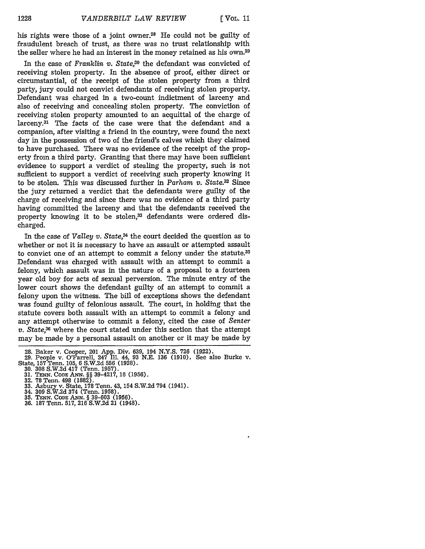his rights were those of a joint owner.<sup>28</sup> He could not be guilty of fraudulent breach of trust, as there was no trust relationship with the seller where he had an interest in the money retained as his own.29

In the case of *Franklin v. State,30* the defendant was convicted of receiving stolen property. In the absence of proof, either direct or circumstantial, of the receipt of the stolen property from a third party, jury could not convict defendants of receiving stolen property. Defendant was charged in a two-count indictment of larceny and also of receiving and concealing stolen property. The conviction of receiving stolen property amounted to an acquittal of the charge of larceny.31 The facts of the case were that the defendant and a companion, after visiting a friend in the country, were found the next day in the possession of two of the friend's calves which they claimed to have purchased. There was no evidence of the receipt of the property from a third party. Granting that there may have been sufficient evidence to support a verdict of stealing the property, such is not sufficient to support a verdict of receiving such property knowing it to be stolen. This was discussed further in *Parham v. State.32* Since the jury returned a verdict that the defendants were guilty of the charge of receiving and since there was no evidence of a third party having committed the larceny and that the defendants received the property knowing it to be stolen,<sup>33</sup> defendants were ordered discharged.

In the case of *Valley v. State,34* the court decided the question as to whether or not it is necessary to have an assault or attempted assault to convict one of an attempt to commit a felony under the statute.35 Defendant was charged with assault with an attempt to commit a felony, which assault was in the nature of a proposal to a fourteen year old boy for acts of sexual perversion. The minute entry of the lower court shows the defendant guilty of an attempt to commit a felony upon the witness. The bill of exceptions shows the defendant was found guilty of felonious assault. The court, in holding that the statute covers both assault with an attempt to commit a felony and any attempt otherwise to commit a felony, cited the case of *Senter v. State,36* where the court stated under this section that the attempt may be made by a personal assault on another or it may be made by

- 
- 34. 309 S.W.2d 374 (Tenn. 1958). **35. TENxN. CODE AN. §** 39-603 **(1956).** 36. 187 Tenn. 517, 216 S.W.2d 21 (1948).
- 

<sup>28.</sup> Baker v. Cooper, 201 App. Div. 639, 194 N.Y.S. 726 (1922). 29. People v. O'Farrell, 247 Ill. 44, 93 N.E. **136** (1910). See also Burke v. State, **157** Tenn. 105, 6 S.W.2d **556** (1928). 30. **308** S.W.2d 417 (Tenn. 1957). **31. TENN. CODE ANN.** §§ 39-4217, **18** (1956). 32. 78 Tenn. 498 (1882).

<sup>33.</sup> Asbury v. State, **178** Tenn. 43, 154 S.W.2d 794 (1941).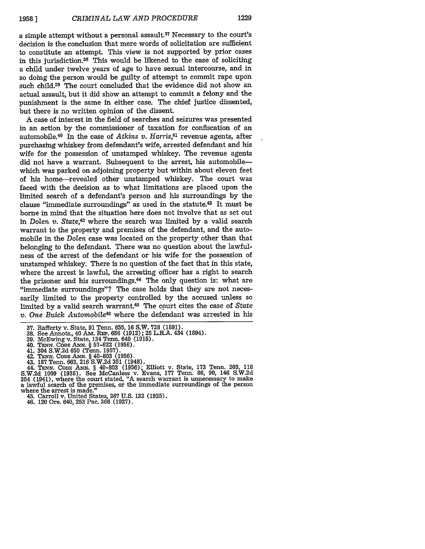a simple attempt without a personal assault.<sup>37</sup> Necessary to the court's decision is the conclusion that mere words of solicitation are sufficient to constitute an attempt. This view is not supported by prior cases in this jurisdiction.<sup>38</sup> This would be likened to the case of soliciting a child under twelve years of age to have sexual intercourse, and in so doing the person would be guilty of attempt to commit rape upon such child.39 The court concluded that the evidence did not show an actual assault, but it did show an attempt to commit a felony and the punishment is the same in either case. The chief justice dissented, but there is no written opinion of the dissent.

A case of interest in the field of searches and seizures was presented in an action by the commissioner of taxation for confiscation of an automobile.<sup>40</sup> In the case of *Atkins v. Harris*,<sup>41</sup> revenue agents, after purchasing whiskey from defendant's wife, arrested defendant and his wife for the possession of unstamped whiskey. The revenue agents did not have a warrant. Subsequent to the arrest, his automobilewhich was parked on adjoining property but within about eleven feet of his home-revealed other unstamped whiskey. The court was faced with the decision as to what limitations are placed upon the limited search of a defendant's person and his surroundings by the clause "immediate surroundings" as used in the statute.<sup>42</sup> It must be borne in mind that the situation here does not involve that as set out in *Dolen v. State,43* where the search was limited by a valid search warrant to the property and premises of the defendant, and the automobile in the *Dolen* case was located on the property other than that belonging to the defendant. There was no question about the lawfulness of the arrest of the defendant or his wife for the possession of unstamped whiskey. There is no question of the fact that in this state, where the arrest is lawful, the arresting officer has a right to search the prisoner and his surroundings.<sup>44</sup> The only question is: what are "immediate surroundings"? The case holds that they are not necessarily limited to the property controlled by the accused unless so limited by a valid search warrant.<sup>45</sup> The court cites the case of State *v. One Buick Automobile46* where the defendant was arrested in his

- 
- 

45. Carroll v. United States, 267 U.S. 132 (1925).

46. 120 Ore. 640, 253 Pac. 366 (1927).

<sup>37.</sup> Rafferty v. State, 91 Tenn. 655, 16 S.W. 728 (1891). 38. See Annots., 40 Am. REP. 656 (1912); 25 L.R.A. 434 (1894).

<sup>39.</sup> McEwing v. State, 134 Tenn. 649 (1915).

<sup>40.</sup> TEN. **CODE ANN.** § 57-622 (1956).

<sup>41. 304</sup> S.W.2d 650 (Tenn. 1957). 42. TENN. **CODE** ANN. § 40-803 (1956).

<sup>43. 187</sup> Tenn. 663, 216 S.W.2d **351** (1948). 44. **TENN. CODE** ANN. § 40-803 (1956); Elliott v. State, 173 Tenn. 203, 116 S.W.2d 1009 (1938). See McCanless v. Evans, 177 Tenn. 86, 90, 146 S.W.2d 354 (1941), where the court stated, "A search warrant is unnecessary to make a lawful search of the premises, or the immediate surroundings of the person where the arrest is made."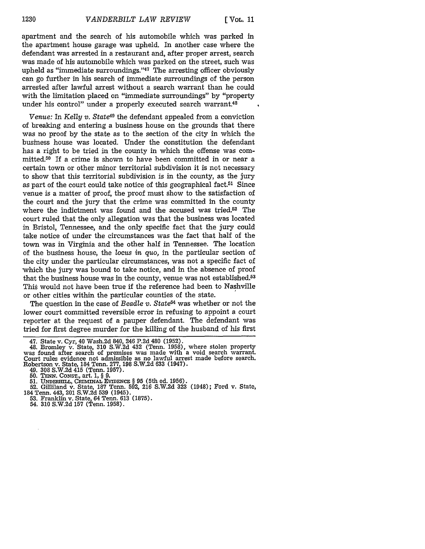apartment and the search of his automobile which was parked in the apartment house garage was upheld. In another case where the defendant was arrested in a restaurant and, after proper arrest, search was made of his automobile which was parked on the street, such was upheld as "immediate surroundings." $47$  The arresting officer obviously can go further in his search of immediate surroundings of the person arrested after lawful arrest without a search warrant than he could with the limitation placed on "immediate surroundings" by "property under his control" under a properly executed search warrant.<sup>48</sup>

*Venue:* In *Kelly v. State49* the defendant appealed from a conviction of breaking and entering a business house on the grounds that there was no proof by the state as to the section of the city in which the business house was located. Under the constitution the defendant has a right to be tried in the county in which the offense was committed.50 If a crime is shown to have been committed in or near a certain town or other minor territorial subdivision it is not necessary to show that this territorial subdivision is in the county, as the jury as part of the court could take notice of this geographical fact.<sup>51</sup> Since venue is a matter of proof, the proof must show to the satisfaction of the court and the jury that the crime was committed in the county where the indictment was found and the accused was tried.<sup>52</sup> The court ruled that the only allegation was that the business was located in Bristol, Tennessee, and the only specific fact that the jury could take notice of under the circumstances was the fact that half of the town was in Virginia and the other half in Tennessee. The location of the business house, the *locus in quo,* in the particular section of the city under the particular circumstances, was not a specific fact of which the jury was bound to take notice, and in the absence of proof that the business house was in the county, yenue was not established.<sup>53</sup> This would not have been true if the reference had been to Nashville or other cities within the particular counties of the state.

The question in the case of *Beadle v. State*<sup>54</sup> was whether or not the lower court committed reversible error in refusing to appoint a court reporter at the request of a pauper defendant. The defendant was tried for first degree murder for the killing of the husband of his first

**51. UNDERHILL,** CRIMINAL EVIDENCE § 95 (5th ed. **1956). 52.** Gilliland v. State, **187** Tenn. **592, 216 S.W.2d 323** (1948); Ford v. State,

- 184 Tenn. 443, 201 **S.W.2d 539** (1945). **53.** Franklin v. State, 64 Tenn. **613 (1875).** 54. **310 S.W.2d 157** (Tenn. **1958).**
	-

<sup>47.</sup> State v. Cyr, 40 Wash.2d 840, 246 P.2d 480 (1952). 48. Bromley v. State, 310 S.W.2d 432 (Tenn. 1958), where stolen property was found after search of premises was made with a void search warrant. Court rules evidence not admissible as no lawful arrest made before search. Robertson v. State, 184 Tenn. 277, 198 S.W.2d 633 (1947). 49. 308 S.W.2d 415 (Tenn. 1957).

<sup>50.</sup> TENN. CONST., art. 1, § 9.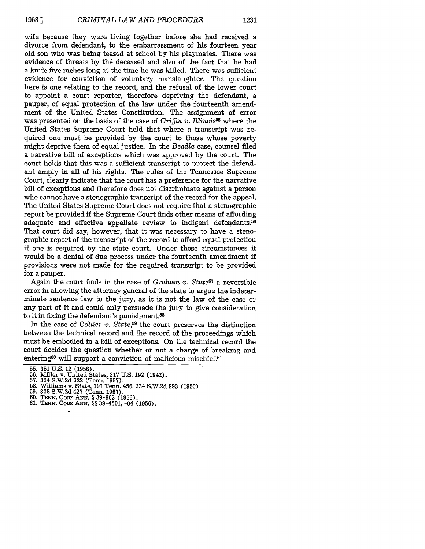wife because they were living together before she had received a divorce from defendant, to the embarrassment of his fourteen year old son who was being teased at school by his playmates. There was evidence of threats by the deceased and also of the fact that he had a knife five inches long at the time he was killed. There was sufficient evidence for conviction of voluntary manslaughter. The question here is one relating to the record, and the refusal of the lower court to appoint a court reporter, therefore depriving the defendant, a pauper, of equal protection of the law under the fourteenth amendment of the United States Constitution. The assignment of error was presented on the basis of the case of Griffin *v. Illinois*<sup>55</sup> where the United States Supreme Court held that where a transcript was required one must be provided by the court to those whose poverty might deprive them of equal justice. In the *Beadle* case, counsel filed a narrative bill of exceptions which was approved by the court. The court holds that this was a sufficient transcript to protect the defendant amply in all of his rights. The rules of the Tennessee Supreme Court, clearly indicate that the court has a preference for the narrative bill of exceptions and therefore does not discriminate against a person who cannot have a stenographic transcript of the record for the appeal. The United States Supreme Court does not require that a stenographic report be provided if the Supreme Court finds other means of affording adequate and effective appellate review to indigent defendants.<sup>56</sup> That court did say, however, that it was necessary to have a stenographic report of the transcript of the record to afford equal protection if one is required by the state court. Under those circumstances it would be a denial of due process under the fourteenth amendment if provisions were not made for the required transcript to be provided for a pauper.

Again the court finds in the case of *Graham v. State57* a reversible error in allowing the attorney general of the state to argue the indeterminate sentence law to the jury, as it is not the law of the case or any part of it and could only persuade the jury to give consideration to it in fixing the defendant's punishment.<sup>58</sup>

In the case of *Collier v. State,59* the court preserves the distinction between the technical record and the record of the proceedings which must be embodied in a bill of exceptions. On the technical record the court decides the question whether or not a charge of breaking and entering<sup>60</sup> will support a conviction of malicious mischief.<sup>61</sup>

- 
- **61. TENN. CODE ANN. §§** 39-4501, -04 **(1956).**
- 

<sup>55. 351</sup> U.S. 12 (1956).<br>56. Miller v. United States, 317 U.S. 192 (1942).<br>57. 304 S.W.2d 622 (Tenn. 1957).<br>58. Williams v. State, 191 Tenn. 456, 234 S.W.2d 993 (1950)<br>59. 308 S.W.2d 427 (Tenn. 1957).<br>60. TENN. CODE ANN. §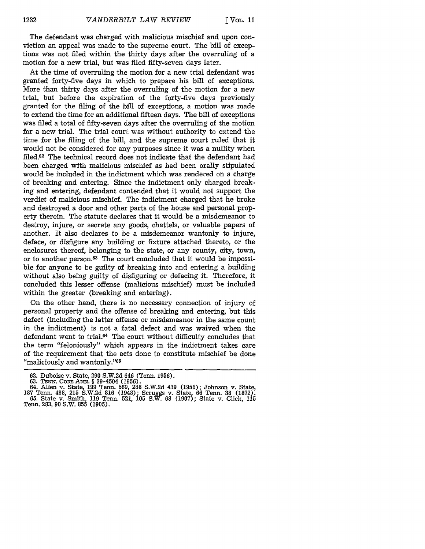The defendant was charged with malicious mischief and upon conviction an appeal was made to the supreme court. The bill of exceptions was not filed within the thirty days after the overruling of a motion for a new trial, but was fied fifty-seven days later.

At the time of overruling the motion for a new trial defendant was granted forty-five days in which to prepare his bill of exceptions. More than thirty days after the overruling of the motion for a new trial, but before the expiration of the forty-five days previously granted for the filing of the bill of exceptions, a motion was made to extend the time for an additional fifteen days. The bill of exceptions was filed a total of fifty-seven days after the overruling of the motion for a new trial. The trial court was without authority to extend the time for the filing of the bill, and the supreme court ruled that it would not be considered for any purposes since it was a nullity when filed.62 The technical record does not indicate that the defendant had been charged with malicious mischief as had been orally stipulated would be included in the indictment which was rendered on a charge of breaking and entering. Since the indictment only charged breaking and entering, defendant contended that it would not support the verdict of malicious mischief. The indictment charged that he broke and destroyed a door and other parts of the house and personal property therein. The statute declares that it would be a misdemeanor to destroy, injure, or secrete any goods, chattels, or valuable papers of another. It also declares to be a misdemeanor wantonly to injure, deface, or disfigure any building or fixture attached thereto, or the enclosures thereof, belonging to the state, or any county, city, town, or to another person.63 The court concluded that it would be impossible for anyone to be guilty of breaking into and entering a building without also being guilty of disfiguring or defacing it. Therefore, it concluded this lesser offense (malicious mischief) must be included within the greater (breaking and entering).

On the other hand, there is no necessary connection of injury of personal property and the offense of breaking and entering, but this defect (including the latter offense or misdemeanor in the same count in the indictment) is not a fatal defect and was waived when the defendant went to trial.64 The court without difficulty concludes that the term "feloniously" which appears in the indictment takes care of the requirement that the acts done to constitute mischief be done "maliciously and wantonly."65

<sup>62.</sup> Duboise v. State, 290 S.W.2d 646 (Tenn. 1956).<br>63. TENN. CODE ANN. § 39-4504 (1956).<br>64. Allen v. State, 199 Tenn. 569, 288 S.W.2d 439 (1956); Johnson v. State, 64. Allen v. State, 199 Tenn. 669, 288 S.W.2d 439 (1956);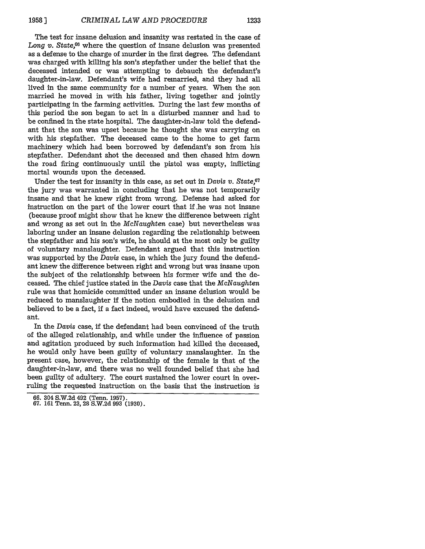The test for insane delusion and insanity was restated in the case of *Long v. State,66* where the question of insane delusion was presented as a defense to the charge of murder in the first degree. The defendant was charged with killing his son's stepfather under the belief that the deceased intended or was attempting to debauch the defendant's daughter-in-law. Defendant's wife had remarried, and they had all lived in the same community for a number of years. When the son married he moved in with his father, living together and jointly participating in the farming activities. During the last few months of this period the son began to act in a disturbed manner and had to be confined in the state hospital. The daughter-in-law told the defendant that the son was upset because he thought she was carrying on with his stepfather. The deceased came to the home to get farm machinery which had been borrowed by defendant's son from his stepfather. Defendant shot the deceased and then chased him down the road firing continuously until the pistol was empty, inflicting mortal wounds upon the deceased.

Under the test for insanity in this case, as set out in *Davis v. State,67* the jury was warranted in concluding that he was not temporarily insane and that he knew right from wrong. Defense had asked for instruction on the part of the lower court that if .he was not insane (because proof might show that he knew the difference between right and wrong as set out in the *McNaughten* case) but nevertheless was laboring under an insane delusion regarding the relationship between the stepfather and his son's wife, he should at the most only be guilty of voluntary manslaughter. Defendant argued that this instruction was supported by the *Davis* case, in which the jury found the defendant knew the difference between right and wrong but was insane upon the subject of the relationship between his former wife and the deceased. The chief justice stated in the *Davis* case that the *McNaughten* rule was that homicide comnitted under an insane delusion would be reduced to manslaughter if the notion embodied in the delusion and believed to be a fact, if a fact indeed, would have excused the defendant.

In the *Davis* case, if the defendant had been convinced of the truth of the alleged relationship, and while under the influence of passion and agitation produced by such information had killed the deceased, he would only have been guilty of voluntary manslaughter. In the present case, however, the relationship of the female is that of the daughter-in-law, and there was no well founded belief that she had been guilty of adultery. The court sustained the lower court in overruling the requested instruction on the basis that the instruction is

**<sup>66.</sup>** 304 **S.W.2d** 492 (Tenn. **1957). 67. 161** Tenn. **23, 28 S.W.2d 993 (1930).**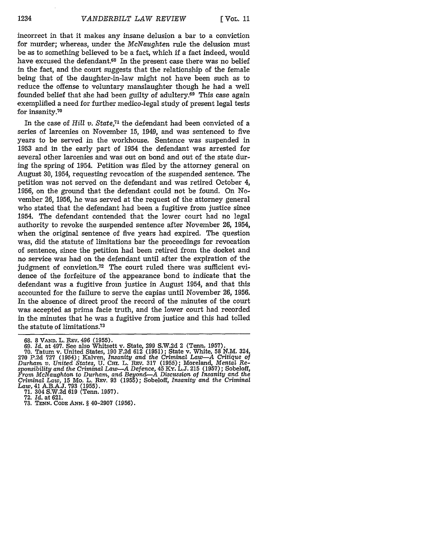incorrect in that it makes any insane delusion a bar to a conviction for murder; whereas, under the *McNaughten* rule the delusion must be as to something believed to be a fact, which if a fact indeed, would have excused the defendant.<sup>68</sup> In the present case there was no belief in the fact, and the court suggests that the relationship of the female being that of the daughter-in-law might not have been such as to reduce the offense to voluntary manslaughter though he had a well founded belief that she had been guilty of adultery.69 This case again exemplified a need for further medico-legal study of present legal tests for insanity.70

In the case of *Hill v. State,71* the defendant had been convicted of a series of larcenies on November 15, 1949, and was sentenced to five years to be served in the workhouse. Sentence was suspended in 1953 and in the early part of 1954 the defendant was arrested for several other larcenies and was out on bond and out of the state during the spring of 1954. Petition was filed by the attorney general on August 30, 1954, requesting revocation of the suspended sentence. The petition was not served on the defendant and was retired October 4, 1956, on the ground that the defendant could not be found. On November 26, 1956, he was served at the request of the attorney general who stated that the defendant had been a fugitive from justice since 1954. The defendant contended that the lower court had no legal authority to revoke the suspended sentence after November 26, 1954, when the original sentence of five years had expired. The question was, did the statute of limitations bar the proceedings for revocation of sentence, since the petition had been retired from the docket and no service was had on the defendant until after the expiration of the judgment of conviction.72 The court ruled there was sufficient evidence of the forfeiture of the appearance bond to indicate that the defendant was a fugitive from justice in August 1954, and that this accounted for the failure to serve the capias until November 26, 1956. In the absence of direct proof the record of the minutes of the court was accepted as prima facie truth, and the lower court had recorded in the minutes that he was a fugitive from justice and this had tolled the statute of limitations.<sup>73</sup>

<sup>68. 8</sup> **VANI.** L. REv. 496 (1955). 69. *Id.* at 497. See also Whitsett v. State, 299 S.W.2d 2 (Tenn. 1957). **70.** Tatum v. United States, **190** F.2d **612 (1951);** State v. White, 58 N.M. 324, 270 P.2d **727** (1954); Kalven, *Insanity and* the *Criminal Law-A Critique of Durham v. United States,* U. Cmi. L. R.v. 317 (1955); Moreland, *Mental Responsibility and the Criminal Law-A Defence,* 45 Ky. L.J. 215 (1957); Sobeloff, *From McNaughton to Durham, and Beyond-A Discussion of Insanity and the Criminal Law,* **15** Mo. L. **REv.** 93 (1955); Sobeloff, *Insanity and the Criminal Law,* 41 A.B.A.J. **793** (1955). 71. 304 S.W.2d 619 (Tenn. 1957). 72. *Id.* at 621.

**<sup>73.</sup> TENN.** CODE *ANN.* **§** 40-2907 (1956).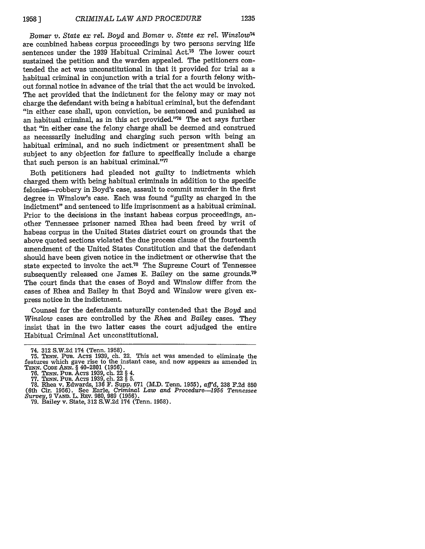*Bomar v. State ex rel. Boyd* and *Bomar v. State ex rel. Winslow <sup>4</sup>* are combined habeas corpus proceedings by two persons serving life sentences under the 1939 Habitual Criminal Act.<sup>75</sup> The lower court sustained the petition and the warden appealed. The petitioners contended the act was unconstitutional in that it provided for trial as a habitual criminal in conjunction with a trial for a fourth felony without formal notice in advance of the trial that the act would be invoked. The act provided that the indictment for the felony may or may not charge the defendant with being a habitual criminal, but the defendant "in either case shall, upon conviction, be sentenced and punished as an habitual criminal, as in this act provided. '76 The act says further that "in either case the felony charge shall be deemed and construed as necessarily including and charging such person with being an habitual criminal, and no such indictment or presentment shall be subject to any objection for failure to specifically include a charge that such person is an habitual criminal. $77$ 

Both petitioners had pleaded not guilty to indictments which charged them with being habitual criminals in addition to the specific felonies-robbery in Boyd's case, assault to commit murder in the first degree in Winslow's case. Each was found "guilty as charged in the indictment" and sentenced to life imprisonment as a habitual criminal. Prior to the decisions in the instant habeas corpus proceedings, another Tennessee prisoner named Rhea had been freed by writ of habeas corpus in the United States district court on grounds that the above quoted sections violated the due process clause of the fourteenth amendment of the United States Constitution and that the defendant should have been given notice in the indictment or otherwise that the state expected to invoke the act.<sup>78</sup> The Supreme Court of Tennessee subsequently released one James E. Bailey on the same grounds.<sup>79</sup> The court finds that the cases of Boyd and Winslow differ from the cases of Rhea and Bailey in that Boyd and Winslow were given express notice in the indictment.

Counsel for the defendants naturally contended that the *Boyd* and *Winslow* cases are controlled by the *Rhea* and *Bailey* cases. They insist that in the two latter cases the court adjudged the entire Habitual Criminal Act unconstitutional.

<sup>74. 312</sup> S.W.2d 174 (Tenn. 1958).<br>75. Tenn. Pub. Acrs 1939, ch. 22. This act was amended to eliminate the features which gave rise to the instant case, and now appears as amended in TENN. CODE ANN. § 40-2801 (1956).<br>TENN. CODE ANN. § 40-2801 (1956).<br>76. TENN. PUB. ACTS 1939, ch. 22 § 4.<br>77. TENN. PUB. ACTS 1939, ch. 22 § 5.<br>7

<sup>16.</sup> Inc. v. State, Barle, *Criminal Law and Procedure*—1956 Tennessee<br> *Survey*, 9 VAND. L. Rev. 980, 989 (1956).<br>
79. Bailey v. State, 312 S.W.2d 174 (Tenn. 1958).